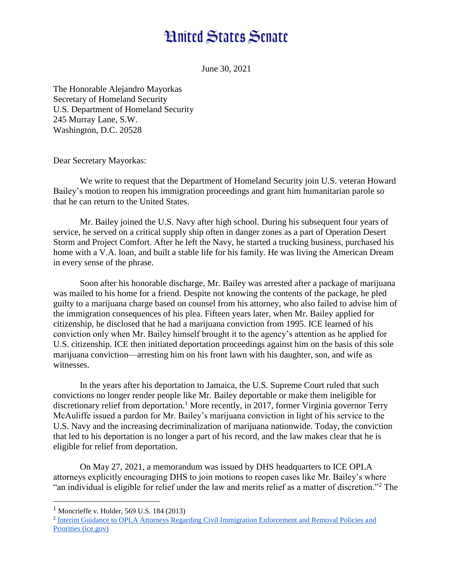## **Hnited States Senate**

June 30, 2021

The Honorable Alejandro Mayorkas Secretary of Homeland Security U.S. Department of Homeland Security 245 Murray Lane, S.W. Washington, D.C. 20528

Dear Secretary Mayorkas:

We write to request that the Department of Homeland Security join U.S. veteran Howard Bailey's motion to reopen his immigration proceedings and grant him humanitarian parole so that he can return to the United States.

Mr. Bailey joined the U.S. Navy after high school. During his subsequent four years of service, he served on a critical supply ship often in danger zones as a part of Operation Desert Storm and Project Comfort. After he left the Navy, he started a trucking business, purchased his home with a V.A. loan, and built a stable life for his family. He was living the American Dream in every sense of the phrase.

Soon after his honorable discharge, Mr. Bailey was arrested after a package of marijuana was mailed to his home for a friend. Despite not knowing the contents of the package, he pled guilty to a marijuana charge based on counsel from his attorney, who also failed to advise him of the immigration consequences of his plea. Fifteen years later, when Mr. Bailey applied for citizenship, he disclosed that he had a marijuana conviction from 1995. ICE learned of his conviction only when Mr. Bailey himself brought it to the agency's attention as he applied for U.S. citizenship. ICE then initiated deportation proceedings against him on the basis of this sole marijuana conviction—arresting him on his front lawn with his daughter, son, and wife as witnesses.

In the years after his deportation to Jamaica, the U.S. Supreme Court ruled that such convictions no longer render people like Mr. Bailey deportable or make them ineligible for discretionary relief from deportation.<sup>1</sup> More recently, in 2017, former Virginia governor Terry McAuliffe issued a pardon for Mr. Bailey's marijuana conviction in light of his service to the U.S. Navy and the increasing decriminalization of marijuana nationwide. Today, the conviction that led to his deportation is no longer a part of his record, and the law makes clear that he is eligible for relief from deportation.

On May 27, 2021, a memorandum was issued by DHS headquarters to ICE OPLA attorneys explicitly encouraging DHS to join motions to reopen cases like Mr. Bailey's where "an individual is eligible for relief under the law and merits relief as a matter of discretion."<sup>2</sup> The

 $\overline{a}$ 

 $<sup>1</sup>$  Moncrieffe v. Holder, 569 U.S. 184 (2013)</sup>

<sup>&</sup>lt;sup>2</sup> Interim Guidance to OPLA Attorneys Regarding Civil Immigration Enforcement and Removal Policies and [Priorities \(ice.gov\)](https://www.ice.gov/doclib/about/offices/opla/OPLA-immigration-enforcement_interim-guidance.pdf)